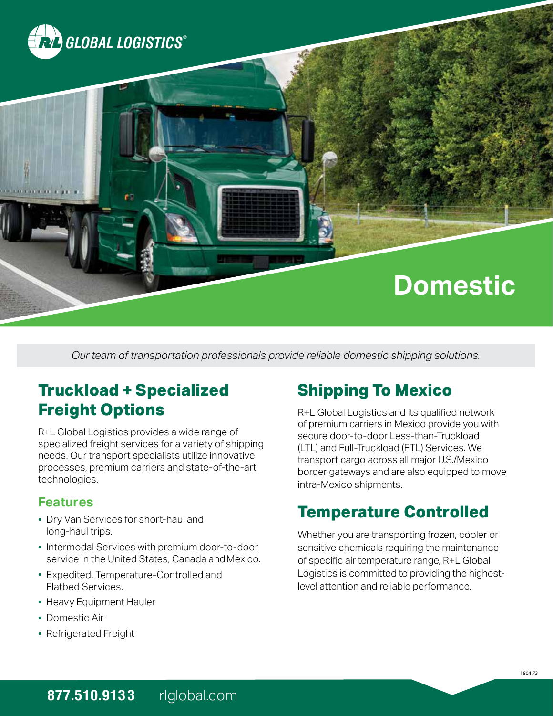

# **Domestic**

*Our team of transportation professionals provide reliable domestic shipping solutions.*

### **Truckload + Specialized Freight Options**

R+L Global Logistics provides a wide range of specialized freight services for a variety of shipping needs. Our transport specialists utilize innovative processes, premium carriers and state-of-the-art technologies.

#### **Features**

- Dry Van Services for short-haul and long-haul trips.
- Intermodal Services with premium door-to-door service in the United States, Canada and Mexico.
- Expedited, Temperature-Controlled and Flatbed Services.
- Heavy Equipment Hauler
- Domestic Air
- Refrigerated Freight

### **Shipping To Mexico**

R+L Global Logistics and its qualified network of premium carriers in Mexico provide you with secure door-to-door Less-than-Truckload (LTL) and Full-Truckload (FTL) Services. We transport cargo across all major U.S./Mexico border gateways and are also equipped to move intra-Mexico shipments.

#### **Temperature Controlled**

Whether you are transporting frozen, cooler or sensitive chemicals requiring the maintenance of specific air temperature range, R+L Global Logistics is committed to providing the highestlevel attention and reliable performance.